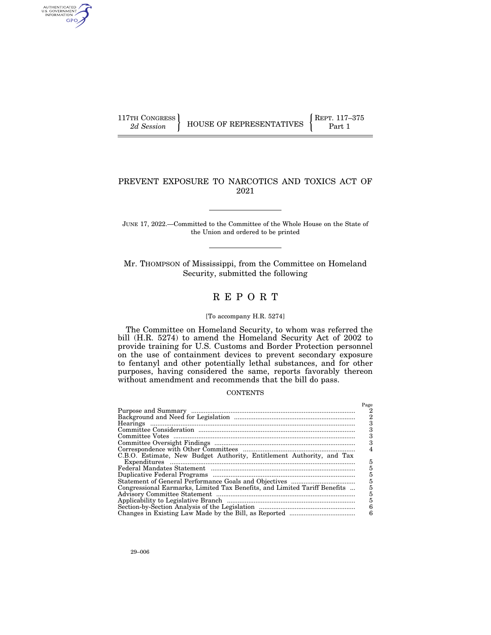AUTHENTICATED<br>U.S. GOVERNMENT<br>INFORMATION GPO

# PREVENT EXPOSURE TO NARCOTICS AND TOXICS ACT OF 2021

JUNE 17, 2022.—Committed to the Committee of the Whole House on the State of the Union and ordered to be printed

Mr. THOMPSON of Mississippi, from the Committee on Homeland Security, submitted the following

# R E P O R T

# [To accompany H.R. 5274]

The Committee on Homeland Security, to whom was referred the bill (H.R. 5274) to amend the Homeland Security Act of 2002 to provide training for U.S. Customs and Border Protection personnel on the use of containment devices to prevent secondary exposure to fentanyl and other potentially lethal substances, and for other purposes, having considered the same, reports favorably thereon without amendment and recommends that the bill do pass.

## **CONTENTS**

|                                                                           | Page |
|---------------------------------------------------------------------------|------|
|                                                                           |      |
|                                                                           | 2    |
|                                                                           |      |
|                                                                           |      |
|                                                                           |      |
|                                                                           |      |
|                                                                           |      |
| C.B.O. Estimate, New Budget Authority, Entitlement Authority, and Tax     |      |
|                                                                           | 5    |
|                                                                           | 5    |
|                                                                           | 5    |
|                                                                           | 5    |
| Congressional Earmarks, Limited Tax Benefits, and Limited Tariff Benefits | 5    |
|                                                                           | 5    |
|                                                                           | 5    |
|                                                                           | 6    |
|                                                                           | 6    |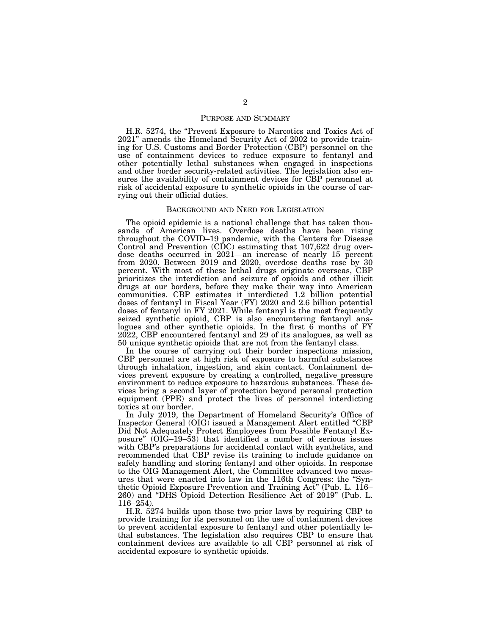#### PURPOSE AND SUMMARY

H.R. 5274, the ''Prevent Exposure to Narcotics and Toxics Act of 2021'' amends the Homeland Security Act of 2002 to provide training for U.S. Customs and Border Protection (CBP) personnel on the use of containment devices to reduce exposure to fentanyl and other potentially lethal substances when engaged in inspections and other border security-related activities. The legislation also ensures the availability of containment devices for CBP personnel at risk of accidental exposure to synthetic opioids in the course of carrying out their official duties.

#### BACKGROUND AND NEED FOR LEGISLATION

The opioid epidemic is a national challenge that has taken thousands of American lives. Overdose deaths have been rising throughout the COVID–19 pandemic, with the Centers for Disease Control and Prevention (CDC) estimating that 107,622 drug overdose deaths occurred in 2021—an increase of nearly 15 percent from 2020. Between 2019 and 2020, overdose deaths rose by 30 percent. With most of these lethal drugs originate overseas, CBP prioritizes the interdiction and seizure of opioids and other illicit drugs at our borders, before they make their way into American communities. CBP estimates it interdicted 1.2 billion potential doses of fentanyl in Fiscal Year (FY) 2020 and 2.6 billion potential doses of fentanyl in FY 2021. While fentanyl is the most frequently seized synthetic opioid, CBP is also encountering fentanyl analogues and other synthetic opioids. In the first  $\vec{6}$  months of FY 2022, CBP encountered fentanyl and 29 of its analogues, as well as 50 unique synthetic opioids that are not from the fentanyl class.

In the course of carrying out their border inspections mission, CBP personnel are at high risk of exposure to harmful substances through inhalation, ingestion, and skin contact. Containment devices prevent exposure by creating a controlled, negative pressure environment to reduce exposure to hazardous substances. These devices bring a second layer of protection beyond personal protection equipment (PPE) and protect the lives of personnel interdicting toxics at our border.

In July 2019, the Department of Homeland Security's Office of Inspector General (OIG) issued a Management Alert entitled ''CBP Did Not Adequately Protect Employees from Possible Fentanyl Exposure'' (OIG–19–53) that identified a number of serious issues with CBP's preparations for accidental contact with synthetics, and recommended that CBP revise its training to include guidance on safely handling and storing fentanyl and other opioids. In response to the OIG Management Alert, the Committee advanced two measures that were enacted into law in the 116th Congress: the ''Synthetic Opioid Exposure Prevention and Training Act'' (Pub. L. 116– 260) and ''DHS Opioid Detection Resilience Act of 2019'' (Pub. L. 116–254).

H.R. 5274 builds upon those two prior laws by requiring CBP to provide training for its personnel on the use of containment devices to prevent accidental exposure to fentanyl and other potentially lethal substances. The legislation also requires CBP to ensure that containment devices are available to all CBP personnel at risk of accidental exposure to synthetic opioids.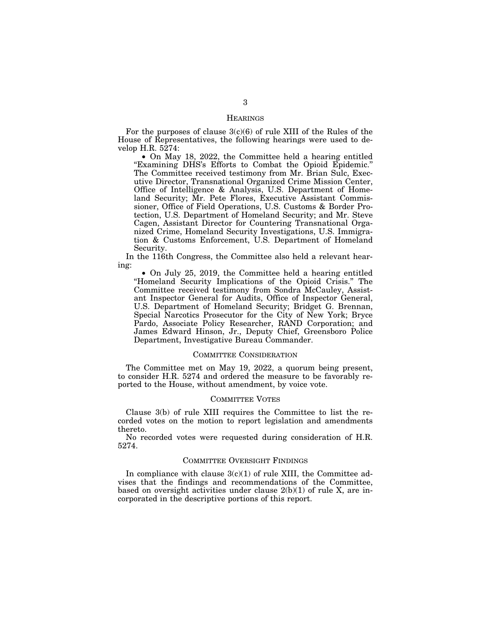# **HEARINGS**

For the purposes of clause  $3(c)(6)$  of rule XIII of the Rules of the House of Representatives, the following hearings were used to develop H.R. 5274:

• On May 18, 2022, the Committee held a hearing entitled ''Examining DHS's Efforts to Combat the Opioid Epidemic.'' The Committee received testimony from Mr. Brian Sulc, Executive Director, Transnational Organized Crime Mission Center, Office of Intelligence & Analysis, U.S. Department of Homeland Security; Mr. Pete Flores, Executive Assistant Commissioner, Office of Field Operations, U.S. Customs & Border Protection, U.S. Department of Homeland Security; and Mr. Steve Cagen, Assistant Director for Countering Transnational Organized Crime, Homeland Security Investigations, U.S. Immigration & Customs Enforcement, U.S. Department of Homeland Security.

In the 116th Congress, the Committee also held a relevant hearing:

• On July 25, 2019, the Committee held a hearing entitled ''Homeland Security Implications of the Opioid Crisis.'' The Committee received testimony from Sondra McCauley, Assistant Inspector General for Audits, Office of Inspector General, U.S. Department of Homeland Security; Bridget G. Brennan, Special Narcotics Prosecutor for the City of New York; Bryce Pardo, Associate Policy Researcher, RAND Corporation; and James Edward Hinson, Jr., Deputy Chief, Greensboro Police Department, Investigative Bureau Commander.

### COMMITTEE CONSIDERATION

The Committee met on May 19, 2022, a quorum being present, to consider H.R. 5274 and ordered the measure to be favorably reported to the House, without amendment, by voice vote.

#### COMMITTEE VOTES

Clause 3(b) of rule XIII requires the Committee to list the recorded votes on the motion to report legislation and amendments thereto.

No recorded votes were requested during consideration of H.R. 5274.

# COMMITTEE OVERSIGHT FINDINGS

In compliance with clause  $3(c)(1)$  of rule XIII, the Committee advises that the findings and recommendations of the Committee, based on oversight activities under clause  $2(b)(1)$  of rule X, are incorporated in the descriptive portions of this report.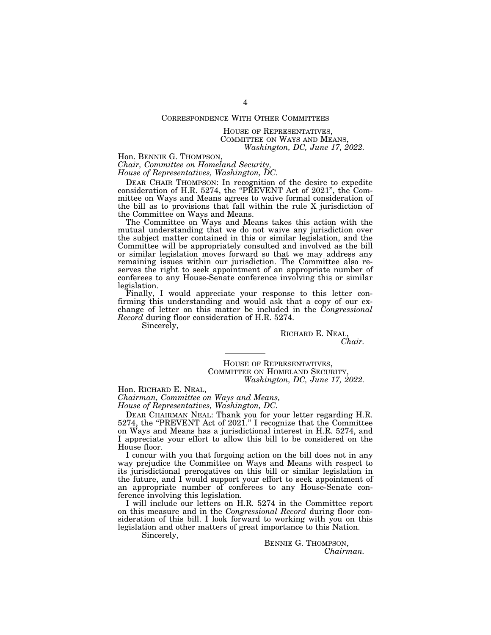# CORRESPONDENCE WITH OTHER COMMITTEES

HOUSE OF REPRESENTATIVES, COMMITTEE ON WAYS AND MEANS, *Washington, DC, June 17, 2022.* 

Hon. BENNIE G. THOMPSON,

*Chair, Committee on Homeland Security, House of Representatives, Washington, DC.* 

DEAR CHAIR THOMPSON: In recognition of the desire to expedite consideration of H.R. 5274, the "PREVENT Act of 2021", the Committee on Ways and Means agrees to waive formal consideration of the bill as to provisions that fall within the rule X jurisdiction of the Committee on Ways and Means.

The Committee on Ways and Means takes this action with the mutual understanding that we do not waive any jurisdiction over the subject matter contained in this or similar legislation, and the Committee will be appropriately consulted and involved as the bill or similar legislation moves forward so that we may address any remaining issues within our jurisdiction. The Committee also reserves the right to seek appointment of an appropriate number of conferees to any House-Senate conference involving this or similar legislation.

Finally, I would appreciate your response to this letter confirming this understanding and would ask that a copy of our exchange of letter on this matter be included in the *Congressional Record* during floor consideration of H.R. 5274.

Sincerely,

RICHARD E. NEAL, *Chair.* 

HOUSE OF REPRESENTATIVES, COMMITTEE ON HOMELAND SECURITY, *Washington, DC, June 17, 2022.* 

Hon. RICHARD E. NEAL,

*Chairman, Committee on Ways and Means, House of Representatives, Washington, DC.* 

DEAR CHAIRMAN NEAL: Thank you for your letter regarding H.R. 5274, the "PREVENT Act of 2021." I recognize that the Committee on Ways and Means has a jurisdictional interest in H.R. 5274, and I appreciate your effort to allow this bill to be considered on the House floor.

I concur with you that forgoing action on the bill does not in any way prejudice the Committee on Ways and Means with respect to its jurisdictional prerogatives on this bill or similar legislation in the future, and I would support your effort to seek appointment of an appropriate number of conferees to any House-Senate conference involving this legislation.

I will include our letters on H.R. 5274 in the Committee report on this measure and in the *Congressional Record* during floor consideration of this bill. I look forward to working with you on this legislation and other matters of great importance to this Nation.

Sincerely,

BENNIE G. THOMPSON, *Chairman.*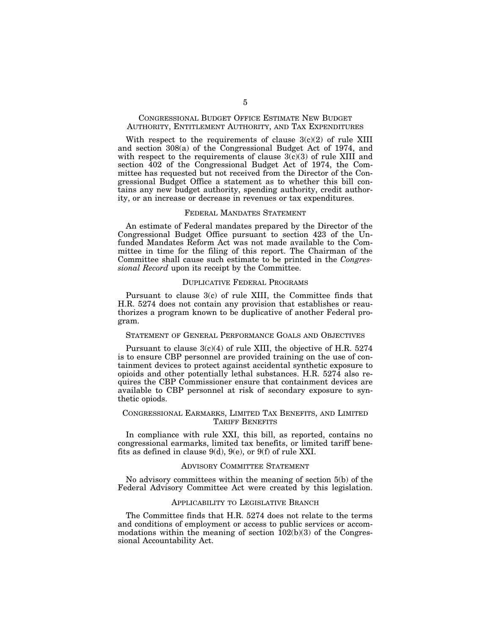# CONGRESSIONAL BUDGET OFFICE ESTIMATE NEW BUDGET AUTHORITY, ENTITLEMENT AUTHORITY, AND TAX EXPENDITURES

With respect to the requirements of clause  $3(c)(2)$  of rule XIII and section 308(a) of the Congressional Budget Act of 1974, and with respect to the requirements of clause  $3(c)(3)$  of rule XIII and section 402 of the Congressional Budget Act of 1974, the Committee has requested but not received from the Director of the Congressional Budget Office a statement as to whether this bill contains any new budget authority, spending authority, credit authority, or an increase or decrease in revenues or tax expenditures.

#### FEDERAL MANDATES STATEMENT

An estimate of Federal mandates prepared by the Director of the Congressional Budget Office pursuant to section 423 of the Unfunded Mandates Reform Act was not made available to the Committee in time for the filing of this report. The Chairman of the Committee shall cause such estimate to be printed in the *Congressional Record* upon its receipt by the Committee.

## DUPLICATIVE FEDERAL PROGRAMS

Pursuant to clause 3(c) of rule XIII, the Committee finds that H.R. 5274 does not contain any provision that establishes or reauthorizes a program known to be duplicative of another Federal program.

# STATEMENT OF GENERAL PERFORMANCE GOALS AND OBJECTIVES

Pursuant to clause 3(c)(4) of rule XIII, the objective of H.R. 5274 is to ensure CBP personnel are provided training on the use of containment devices to protect against accidental synthetic exposure to opioids and other potentially lethal substances. H.R. 5274 also requires the CBP Commissioner ensure that containment devices are available to CBP personnel at risk of secondary exposure to synthetic opiods.

## CONGRESSIONAL EARMARKS, LIMITED TAX BENEFITS, AND LIMITED TARIFF BENEFITS

In compliance with rule XXI, this bill, as reported, contains no congressional earmarks, limited tax benefits, or limited tariff benefits as defined in clause 9(d), 9(e), or 9(f) of rule XXI.

#### ADVISORY COMMITTEE STATEMENT

No advisory committees within the meaning of section 5(b) of the Federal Advisory Committee Act were created by this legislation.

# APPLICABILITY TO LEGISLATIVE BRANCH

The Committee finds that H.R. 5274 does not relate to the terms and conditions of employment or access to public services or accommodations within the meaning of section  $102(b)(3)$  of the Congressional Accountability Act.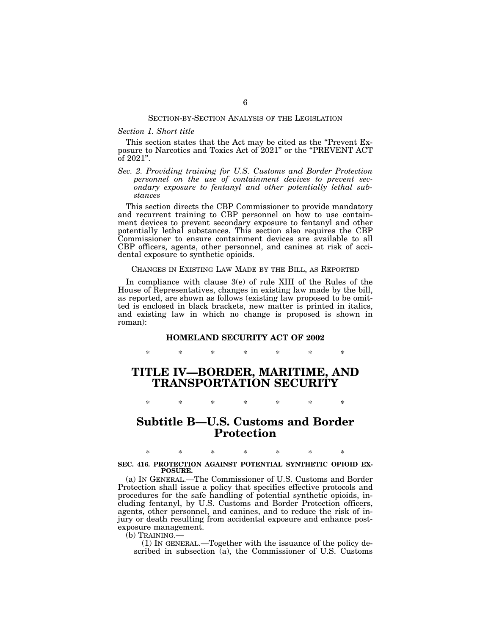#### SECTION-BY-SECTION ANALYSIS OF THE LEGISLATION

### *Section 1. Short title*

This section states that the Act may be cited as the "Prevent Exposure to Narcotics and Toxics Act of 2021'' or the ''PREVENT ACT of 2021''.

*Sec. 2. Providing training for U.S. Customs and Border Protection personnel on the use of containment devices to prevent secondary exposure to fentanyl and other potentially lethal substances* 

This section directs the CBP Commissioner to provide mandatory and recurrent training to CBP personnel on how to use containment devices to prevent secondary exposure to fentanyl and other potentially lethal substances. This section also requires the CBP Commissioner to ensure containment devices are available to all CBP officers, agents, other personnel, and canines at risk of accidental exposure to synthetic opioids.

# CHANGES IN EXISTING LAW MADE BY THE BILL, AS REPORTED

In compliance with clause 3(e) of rule XIII of the Rules of the House of Representatives, changes in existing law made by the bill, as reported, are shown as follows (existing law proposed to be omitted is enclosed in black brackets, new matter is printed in italics, and existing law in which no change is proposed is shown in roman):

# **HOMELAND SECURITY ACT OF 2002**  \* \* \* \* \* \* \*

# **TITLE IV—BORDER, MARITIME, AND TRANSPORTATION SECURITY**

\* \* \* \* \* \* \*

# **Subtitle B—U.S. Customs and Border Protection**

# \* \* \* \* \* \* \* **SEC. 416. PROTECTION AGAINST POTENTIAL SYNTHETIC OPIOID EX-POSURE.**

(a) IN GENERAL.—The Commissioner of U.S. Customs and Border Protection shall issue a policy that specifies effective protocols and procedures for the safe handling of potential synthetic opioids, including fentanyl, by U.S. Customs and Border Protection officers, agents, other personnel, and canines, and to reduce the risk of injury or death resulting from accidental exposure and enhance postexposure management.

(b) TRAINING.—

(1) IN GENERAL.—Together with the issuance of the policy described in subsection  $(a)$ , the Commissioner of U.S. Customs